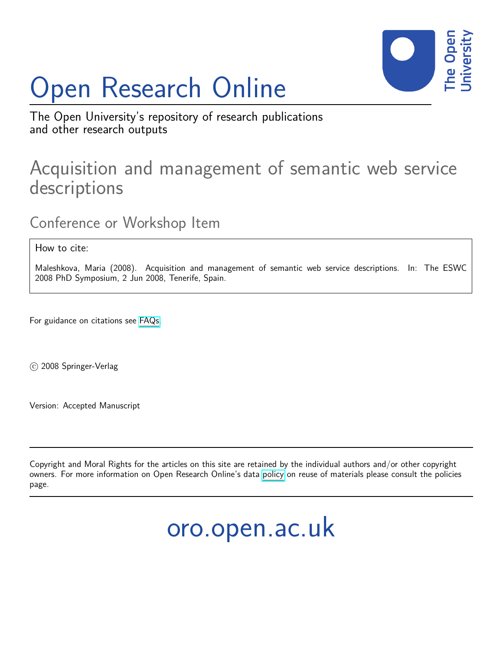# Open Research Online



The Open University's repository of research publications and other research outputs

## Acquisition and management of semantic web service descriptions

Conference or Workshop Item

How to cite:

Maleshkova, Maria (2008). Acquisition and management of semantic web service descriptions. In: The ESWC 2008 PhD Symposium, 2 Jun 2008, Tenerife, Spain.

For guidance on citations see [FAQs.](http://oro.open.ac.uk/help/helpfaq.html)

c 2008 Springer-Verlag

Version: Accepted Manuscript

Copyright and Moral Rights for the articles on this site are retained by the individual authors and/or other copyright owners. For more information on Open Research Online's data [policy](http://oro.open.ac.uk/policies.html) on reuse of materials please consult the policies page.

oro.open.ac.uk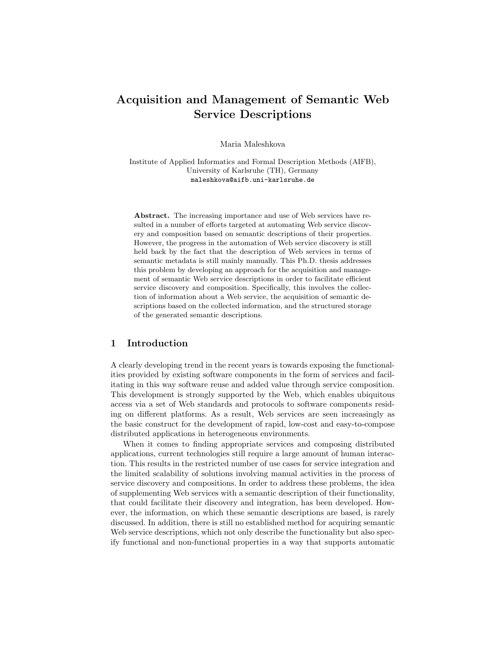### Acquisition and Management of Semantic Web Service Descriptions

Maria Maleshkova

Institute of Applied Informatics and Formal Description Methods (AIFB), University of Karlsruhe (TH), Germany maleshkova@aifb.uni-karlsruhe.de

Abstract. The increasing importance and use of Web services have resulted in a number of efforts targeted at automating Web service discovery and composition based on semantic descriptions of their properties. However, the progress in the automation of Web service discovery is still held back by the fact that the description of Web services in terms of semantic metadata is still mainly manually. This Ph.D. thesis addresses this problem by developing an approach for the acquisition and management of semantic Web service descriptions in order to facilitate efficient service discovery and composition. Specifically, this involves the collection of information about a Web service, the acquisition of semantic descriptions based on the collected information, and the structured storage of the generated semantic descriptions.

#### 1 Introduction

A clearly developing trend in the recent years is towards exposing the functionalities provided by existing software components in the form of services and facilitating in this way software reuse and added value through service composition. This development is strongly supported by the Web, which enables ubiquitous access via a set of Web standards and protocols to software components residing on different platforms. As a result, Web services are seen increasingly as the basic construct for the development of rapid, low-cost and easy-to-compose distributed applications in heterogeneous environments.

When it comes to finding appropriate services and composing distributed applications, current technologies still require a large amount of human interaction. This results in the restricted number of use cases for service integration and the limited scalability of solutions involving manual activities in the process of service discovery and compositions. In order to address these problems, the idea of supplementing Web services with a semantic description of their functionality, that could facilitate their discovery and integration, has been developed. However, the information, on which these semantic descriptions are based, is rarely discussed. In addition, there is still no established method for acquiring semantic Web service descriptions, which not only describe the functionality but also specify functional and non-functional properties in a way that supports automatic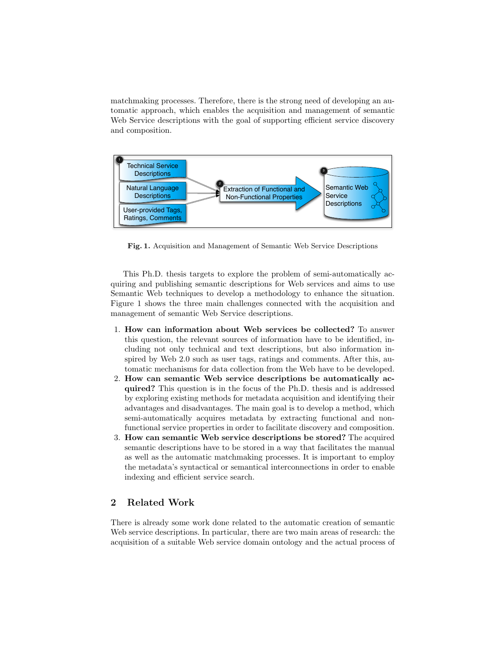matchmaking processes. Therefore, there is the strong need of developing an automatic approach, which enables the acquisition and management of semantic Web Service descriptions with the goal of supporting efficient service discovery and composition.



Fig. 1. Acquisition and Management of Semantic Web Service Descriptions

This Ph.D. thesis targets to explore the problem of semi-automatically acquiring and publishing semantic descriptions for Web services and aims to use Semantic Web techniques to develop a methodology to enhance the situation. Figure 1 shows the three main challenges connected with the acquisition and management of semantic Web Service descriptions.

- 1. How can information about Web services be collected? To answer this question, the relevant sources of information have to be identified, including not only technical and text descriptions, but also information inspired by Web 2.0 such as user tags, ratings and comments. After this, automatic mechanisms for data collection from the Web have to be developed.
- 2. How can semantic Web service descriptions be automatically acquired? This question is in the focus of the Ph.D. thesis and is addressed by exploring existing methods for metadata acquisition and identifying their advantages and disadvantages. The main goal is to develop a method, which semi-automatically acquires metadata by extracting functional and nonfunctional service properties in order to facilitate discovery and composition.
- 3. How can semantic Web service descriptions be stored? The acquired semantic descriptions have to be stored in a way that facilitates the manual as well as the automatic matchmaking processes. It is important to employ the metadata's syntactical or semantical interconnections in order to enable indexing and efficient service search.

#### 2 Related Work

There is already some work done related to the automatic creation of semantic Web service descriptions. In particular, there are two main areas of research: the acquisition of a suitable Web service domain ontology and the actual process of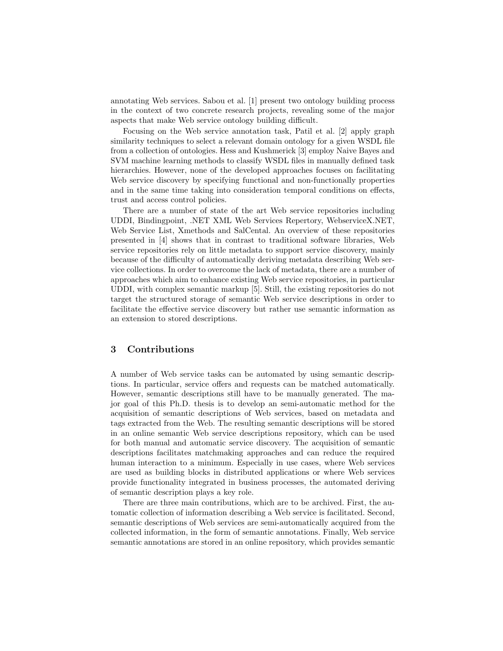annotating Web services. Sabou et al. [1] present two ontology building process in the context of two concrete research projects, revealing some of the major aspects that make Web service ontology building difficult.

Focusing on the Web service annotation task, Patil et al. [2] apply graph similarity techniques to select a relevant domain ontology for a given WSDL file from a collection of ontologies. Hess and Kushmerick [3] employ Naive Bayes and SVM machine learning methods to classify WSDL files in manually defined task hierarchies. However, none of the developed approaches focuses on facilitating Web service discovery by specifying functional and non-functionally properties and in the same time taking into consideration temporal conditions on effects, trust and access control policies.

There are a number of state of the art Web service repositories including UDDI, Bindingpoint, .NET XML Web Services Repertory, WebserviceX.NET, Web Service List, Xmethods and SalCental. An overview of these repositories presented in [4] shows that in contrast to traditional software libraries, Web service repositories rely on little metadata to support service discovery, mainly because of the difficulty of automatically deriving metadata describing Web service collections. In order to overcome the lack of metadata, there are a number of approaches which aim to enhance existing Web service repositories, in particular UDDI, with complex semantic markup [5]. Still, the existing repositories do not target the structured storage of semantic Web service descriptions in order to facilitate the effective service discovery but rather use semantic information as an extension to stored descriptions.

#### 3 Contributions

A number of Web service tasks can be automated by using semantic descriptions. In particular, service offers and requests can be matched automatically. However, semantic descriptions still have to be manually generated. The major goal of this Ph.D. thesis is to develop an semi-automatic method for the acquisition of semantic descriptions of Web services, based on metadata and tags extracted from the Web. The resulting semantic descriptions will be stored in an online semantic Web service descriptions repository, which can be used for both manual and automatic service discovery. The acquisition of semantic descriptions facilitates matchmaking approaches and can reduce the required human interaction to a minimum. Especially in use cases, where Web services are used as building blocks in distributed applications or where Web services provide functionality integrated in business processes, the automated deriving of semantic description plays a key role.

There are three main contributions, which are to be archived. First, the automatic collection of information describing a Web service is facilitated. Second, semantic descriptions of Web services are semi-automatically acquired from the collected information, in the form of semantic annotations. Finally, Web service semantic annotations are stored in an online repository, which provides semantic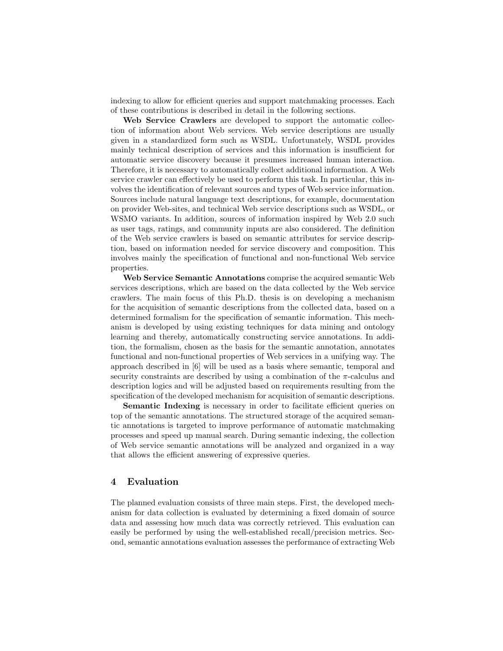indexing to allow for efficient queries and support matchmaking processes. Each of these contributions is described in detail in the following sections.

Web Service Crawlers are developed to support the automatic collection of information about Web services. Web service descriptions are usually given in a standardized form such as WSDL. Unfortunately, WSDL provides mainly technical description of services and this information is insufficient for automatic service discovery because it presumes increased human interaction. Therefore, it is necessary to automatically collect additional information. A Web service crawler can effectively be used to perform this task. In particular, this involves the identification of relevant sources and types of Web service information. Sources include natural language text descriptions, for example, documentation on provider Web-sites, and technical Web service descriptions such as WSDL, or WSMO variants. In addition, sources of information inspired by Web 2.0 such as user tags, ratings, and community inputs are also considered. The definition of the Web service crawlers is based on semantic attributes for service description, based on information needed for service discovery and composition. This involves mainly the specification of functional and non-functional Web service properties.

Web Service Semantic Annotations comprise the acquired semantic Web services descriptions, which are based on the data collected by the Web service crawlers. The main focus of this Ph.D. thesis is on developing a mechanism for the acquisition of semantic descriptions from the collected data, based on a determined formalism for the specification of semantic information. This mechanism is developed by using existing techniques for data mining and ontology learning and thereby, automatically constructing service annotations. In addition, the formalism, chosen as the basis for the semantic annotation, annotates functional and non-functional properties of Web services in a unifying way. The approach described in [6] will be used as a basis where semantic, temporal and security constraints are described by using a combination of the  $\pi$ -calculus and description logics and will be adjusted based on requirements resulting from the specification of the developed mechanism for acquisition of semantic descriptions.

Semantic Indexing is necessary in order to facilitate efficient queries on top of the semantic annotations. The structured storage of the acquired semantic annotations is targeted to improve performance of automatic matchmaking processes and speed up manual search. During semantic indexing, the collection of Web service semantic annotations will be analyzed and organized in a way that allows the efficient answering of expressive queries.

#### 4 Evaluation

The planned evaluation consists of three main steps. First, the developed mechanism for data collection is evaluated by determining a fixed domain of source data and assessing how much data was correctly retrieved. This evaluation can easily be performed by using the well-established recall/precision metrics. Second, semantic annotations evaluation assesses the performance of extracting Web